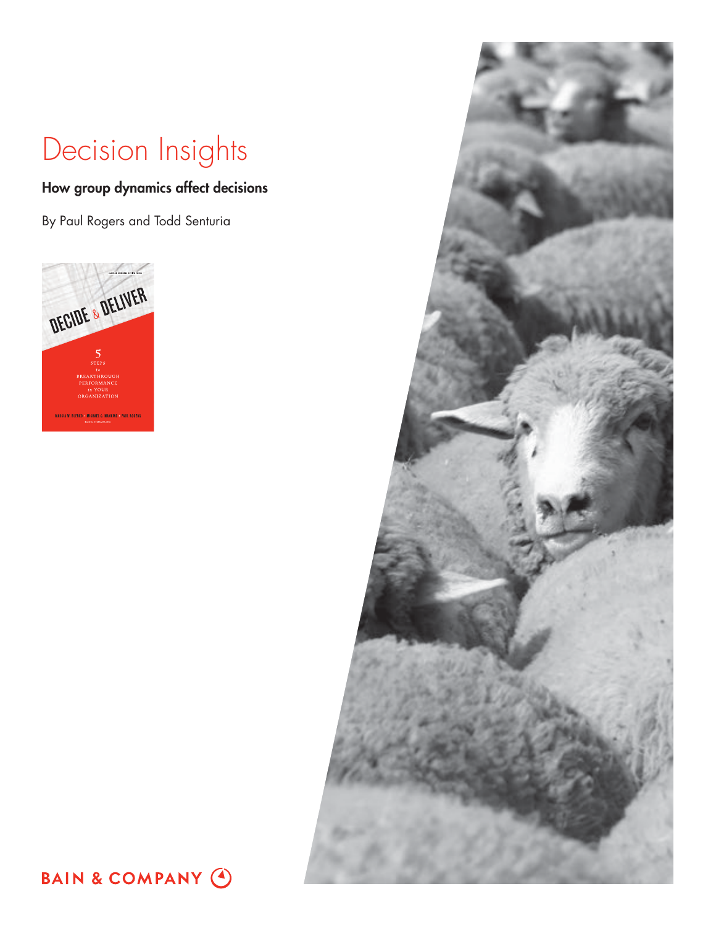# Decision Insights

## How group dynamics affect decisions

By Paul Rogers and Todd Senturia





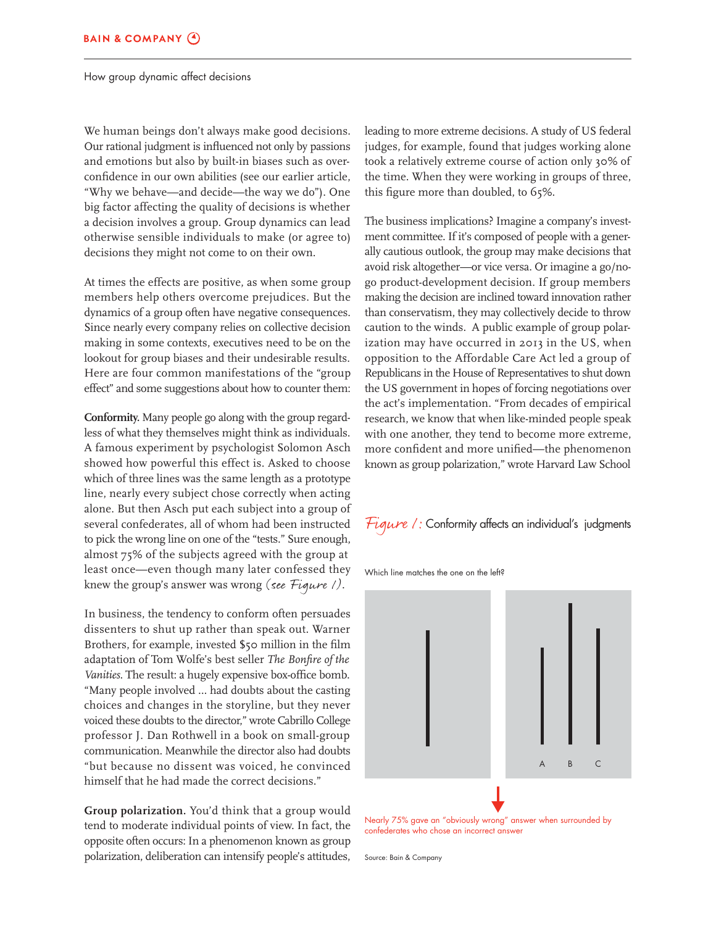How group dynamic affect decisions

We human beings don't always make good decisions. Our rational judgment is influenced not only by passions and emotions but also by built-in biases such as overconfidence in our own abilities (see our earlier article, "Why we behave—and decide—the way we do"). One big factor affecting the quality of decisions is whether a decision involves a group. Group dynamics can lead otherwise sensible individuals to make (or agree to) decisions they might not come to on their own.

At times the effects are positive, as when some group members help others overcome prejudices. But the dynamics of a group often have negative consequences. Since nearly every company relies on collective decision making in some contexts, executives need to be on the lookout for group biases and their undesirable results. Here are four common manifestations of the "group effect" and some suggestions about how to counter them:

**Conformity.** Many people go along with the group regardless of what they themselves might think as individuals. A famous experiment by psychologist Solomon Asch showed how powerful this effect is. Asked to choose which of three lines was the same length as a prototype line, nearly every subject chose correctly when acting alone. But then Asch put each subject into a group of several confederates, all of whom had been instructed to pick the wrong line on one of the "tests." Sure enough, almost 75% of the subjects agreed with the group at least once—even though many later confessed they knew the group's answer was wrong (see Figure  $\ell$ ).

In business, the tendency to conform often persuades dissenters to shut up rather than speak out. Warner Brothers, for example, invested \$50 million in the film adaptation of Tom Wolfe's best seller *The Bonfire of the Vanities*. The result: a hugely expensive box-office bomb. "Many people involved … had doubts about the casting choices and changes in the storyline, but they never voiced these doubts to the director," wrote Cabrillo College professor J. Dan Rothwell in a book on small-group communication. Meanwhile the director also had doubts "but because no dissent was voiced, he convinced himself that he had made the correct decisions."

**Group polarization.** You'd think that a group would tend to moderate individual points of view. In fact, the opposite often occurs: In a phenomenon known as group polarization, deliberation can intensify people's attitudes,

leading to more extreme decisions. A study of US federal judges, for example, found that judges working alone took a relatively extreme course of action only 30% of the time. When they were working in groups of three, this figure more than doubled, to 65%.

The business implications? Imagine a company's investment committee. If it's composed of people with a generally cautious outlook, the group may make decisions that avoid risk altogether—or vice versa. Or imagine a go/nogo product-development decision. If group members making the decision are inclined toward innovation rather than conservatism, they may collectively decide to throw caution to the winds. A public example of group polarization may have occurred in 2013 in the US, when opposition to the Affordable Care Act led a group of Republicans in the House of Representatives to shut down the US government in hopes of forcing negotiations over the act's implementation. "From decades of empirical research, we know that when like-minded people speak with one another, they tend to become more extreme, more confident and more unified—the phenomenon known as group polarization," wrote Harvard Law School



Which line matches the one on the left?



Nearly 75% gave an "obviously wrong" answer when surrounded by confederates who chose an incorrect answer

Source: Bain & Company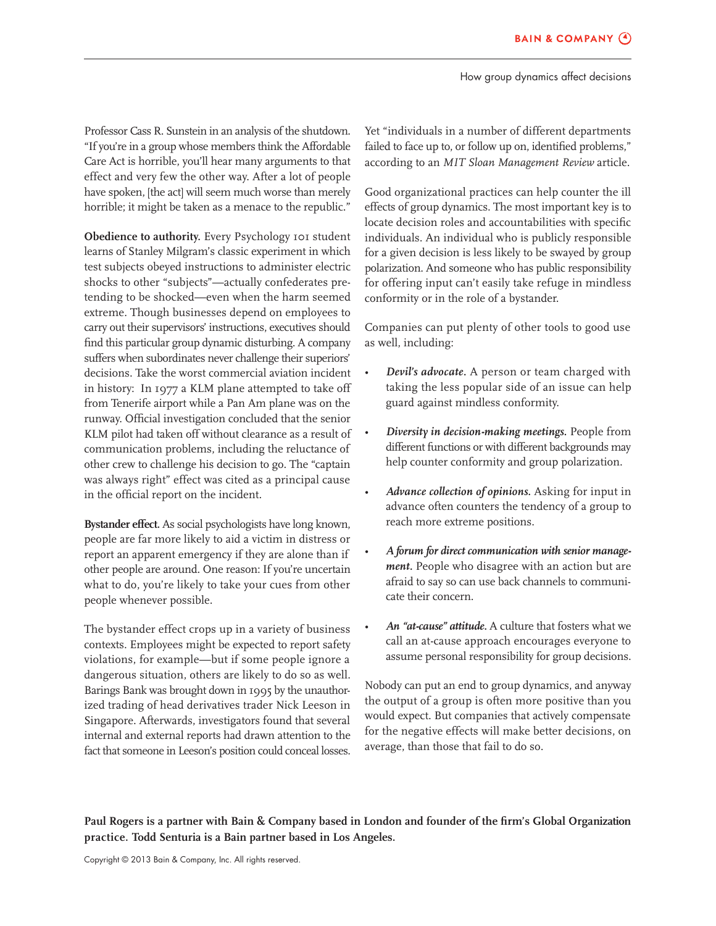How group dynamics affect decisions

Professor Cass R. Sunstein in an analysis of the shutdown. "If you're in a group whose members think the Affordable Care Act is horrible, you'll hear many arguments to that effect and very few the other way. After a lot of people have spoken, [the act] will seem much worse than merely horrible; it might be taken as a menace to the republic."

**Obedience to authority.** Every Psychology 101 student learns of Stanley Milgram's classic experiment in which test subjects obeyed instructions to administer electric shocks to other "subjects"—actually confederates pretending to be shocked—even when the harm seemed extreme. Though businesses depend on employees to carry out their supervisors' instructions, executives should find this particular group dynamic disturbing. A company suffers when subordinates never challenge their superiors' decisions. Take the worst commercial aviation incident in history: In 1977 a KLM plane attempted to take off from Tenerife airport while a Pan Am plane was on the runway. Official investigation concluded that the senior KLM pilot had taken off without clearance as a result of communication problems, including the reluctance of other crew to challenge his decision to go. The "captain was always right" effect was cited as a principal cause in the official report on the incident.

**Bystander effect.** As social psychologists have long known, people are far more likely to aid a victim in distress or report an apparent emergency if they are alone than if other people are around. One reason: If you're uncertain what to do, you're likely to take your cues from other people whenever possible.

The bystander effect crops up in a variety of business contexts. Employees might be expected to report safety violations, for example—but if some people ignore a dangerous situation, others are likely to do so as well. Barings Bank was brought down in 1995 by the unauthorized trading of head derivatives trader Nick Leeson in Singapore. Afterwards, investigators found that several internal and external reports had drawn attention to the fact that someone in Leeson's position could conceal losses. Yet "individuals in a number of different departments failed to face up to, or follow up on, identified problems," according to an *MIT Sloan Management Review* article.

Good organizational practices can help counter the ill effects of group dynamics. The most important key is to locate decision roles and accountabilities with specific individuals. An individual who is publicly responsible for a given decision is less likely to be swayed by group polarization. And someone who has public responsibility for offering input can't easily take refuge in mindless conformity or in the role of a bystander.

Companies can put plenty of other tools to good use as well, including:

- *Devil's advocate.* A person or team charged with taking the less popular side of an issue can help guard against mindless conformity.
- *Diversity in decision-making meetings.* People from different functions or with different backgrounds may help counter conformity and group polarization.
- *Advance collection of opinions.* Asking for input in advance often counters the tendency of a group to reach more extreme positions.
- *A forum for direct communication with senior management.* People who disagree with an action but are afraid to say so can use back channels to communicate their concern.
- *An "at-cause" attitude.* A culture that fosters what we call an at-cause approach encourages everyone to assume personal responsibility for group decisions.

Nobody can put an end to group dynamics, and anyway the output of a group is often more positive than you would expect. But companies that actively compensate for the negative effects will make better decisions, on average, than those that fail to do so.

**Paul Rogers is a partner with Bain & Company based in London and founder of the firm's Global Organization practice. Todd Senturia is a Bain partner based in Los Angeles.**